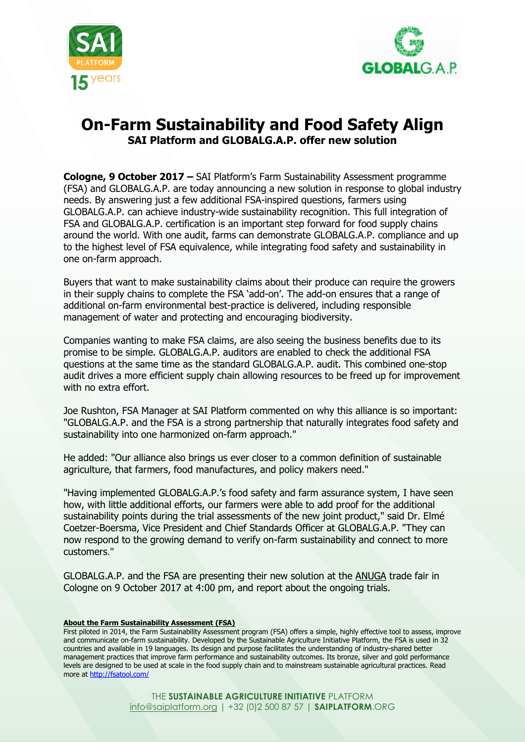



## **On-Farm Sustainability and Food Safety Align SAI Platform and GLOBALG.A.P. offer new solution**

**Cologne, 9 October 2017 –** SAI Platform's Farm Sustainability Assessment programme (FSA) and GLOBALG.A.P. are today announcing a new solution in response to global industry needs. By answering just a few additional FSA-inspired questions, farmers using GLOBALG.A.P. can achieve industry-wide sustainability recognition. This full integration of FSA and GLOBALG.A.P. certification is an important step forward for food supply chains around the world. With one audit, farms can demonstrate GLOBALG.A.P. compliance and up to the highest level of FSA equivalence, while integrating food safety and sustainability in one on-farm approach.

Buyers that want to make sustainability claims about their produce can require the growers in their supply chains to complete the FSA 'add-on'. The add-on ensures that a range of additional on-farm environmental best-practice is delivered, including responsible management of water and protecting and encouraging biodiversity.

Companies wanting to make FSA claims, are also seeing the business benefits due to its promise to be simple. GLOBALG.A.P. auditors are enabled to check the additional FSA questions at the same time as the standard GLOBALG.A.P. audit. This combined one-stop audit drives a more efficient supply chain allowing resources to be freed up for improvement with no extra effort.

Joe Rushton, FSA Manager at SAI Platform commented on why this alliance is so important: "GLOBALG.A.P. and the FSA is a strong partnership that naturally integrates food safety and sustainability into one harmonized on-farm approach."

He added: "Our alliance also brings us ever closer to a common definition of sustainable agriculture, that farmers, food manufactures, and policy makers need."

"Having implemented GLOBALG.A.P.'s food safety and farm assurance system, I have seen how, with little additional efforts, our farmers were able to add proof for the additional sustainability points during the trial assessments of the new joint product," said Dr. Elmé Coetzer-Boersma, Vice President and Chief Standards Officer at GLOBALG.A.P. "They can now respond to the growing demand to verify on-farm sustainability and connect to more customers."

GLOBALG.A.P. and the FSA are presenting their new solution at the [ANUGA](http://www.anuga.com/) trade fair in Cologne on 9 October 2017 at 4:00 pm, and report about the ongoing trials.

## **About the Farm Sustainability Assessment (FSA)**

First piloted in 2014, the Farm Sustainability Assessment program (FSA) offers a simple, highly effective tool to assess, improve and communicate on-farm sustainability. Developed by the Sustainable Agriculture Initiative Platform, the FSA is used in 32 countries and available in 19 languages. Its design and purpose facilitates the understanding of industry-shared better management practices that improve farm performance and sustainability outcomes. Its bronze, silver and gold performance levels are designed to be used at scale in the food supply chain and to mainstream sustainable agricultural practices. Read more at <http://fsatool.com/>